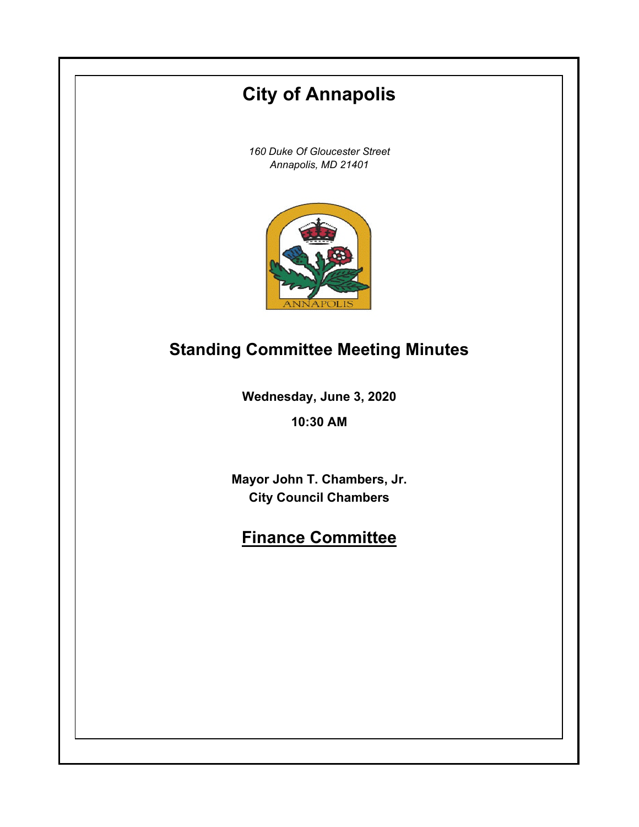# **City of Annapolis**

*160 Duke Of Gloucester Street Annapolis, MD 21401*



### **Standing Committee Meeting Minutes**

**Wednesday, June 3, 2020**

**10:30 AM**

**Mayor John T. Chambers, Jr. City Council Chambers**

## **Finance Committee**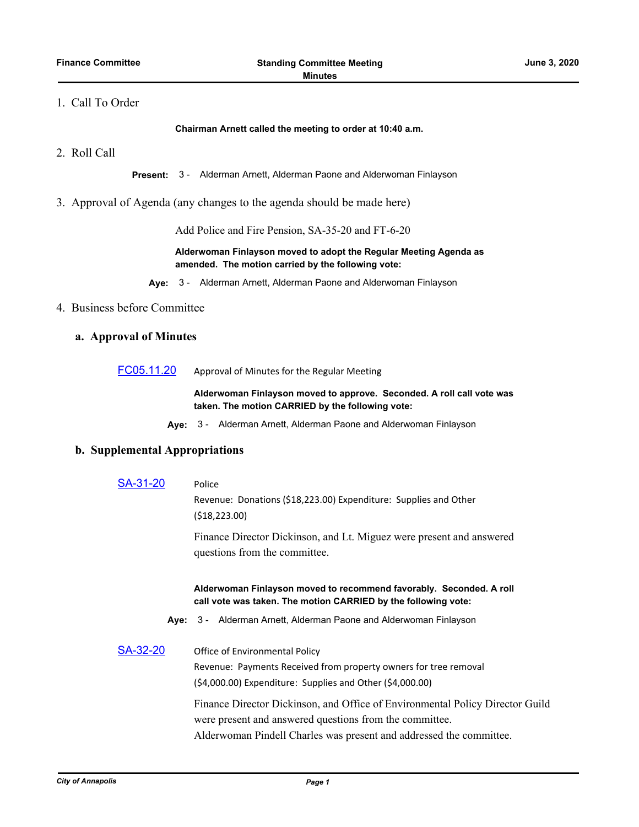#### 1. Call To Order

**Chairman Arnett called the meeting to order at 10:40 a.m.**

2. Roll Call

**Present:** 3 - Alderman Arnett, Alderman Paone and Alderwoman Finlayson

3. Approval of Agenda (any changes to the agenda should be made here)

Add Police and Fire Pension, SA-35-20 and FT-6-20

**Alderwoman Finlayson moved to adopt the Regular Meeting Agenda as amended. The motion carried by the following vote:**

- **Aye:** 3 Alderman Arnett, Alderman Paone and Alderwoman Finlayson
- 4. Business before Committee

#### **a. Approval of Minutes**

[FC05.11.20](http://annapolismd.legistar.com/gateway.aspx?m=l&id=/matter.aspx?key=4803) Approval of Minutes for the Regular Meeting

**Alderwoman Finlayson moved to approve. Seconded. A roll call vote was taken. The motion CARRIED by the following vote:**

**Aye:** 3 - Alderman Arnett, Alderman Paone and Alderwoman Finlayson

#### **b. Supplemental Appropriations**

[SA-31-20](http://annapolismd.legistar.com/gateway.aspx?m=l&id=/matter.aspx?key=4793) Police

Revenue: Donations (\$18,223.00) Expenditure: Supplies and Other (\$18,223.00)

Finance Director Dickinson, and Lt. Miguez were present and answered questions from the committee.

#### **Alderwoman Finlayson moved to recommend favorably. Seconded. A roll call vote was taken. The motion CARRIED by the following vote:**

- **Aye:** 3 Alderman Arnett, Alderman Paone and Alderwoman Finlayson
- [SA-32-20](http://annapolismd.legistar.com/gateway.aspx?m=l&id=/matter.aspx?key=4795) Office of Environmental Policy Revenue: Payments Received from property owners for tree removal (\$4,000.00) Expenditure: Supplies and Other (\$4,000.00) Finance Director Dickinson, and Office of Environmental Policy Director Guild were present and answered questions from the committee. Alderwoman Pindell Charles was present and addressed the committee.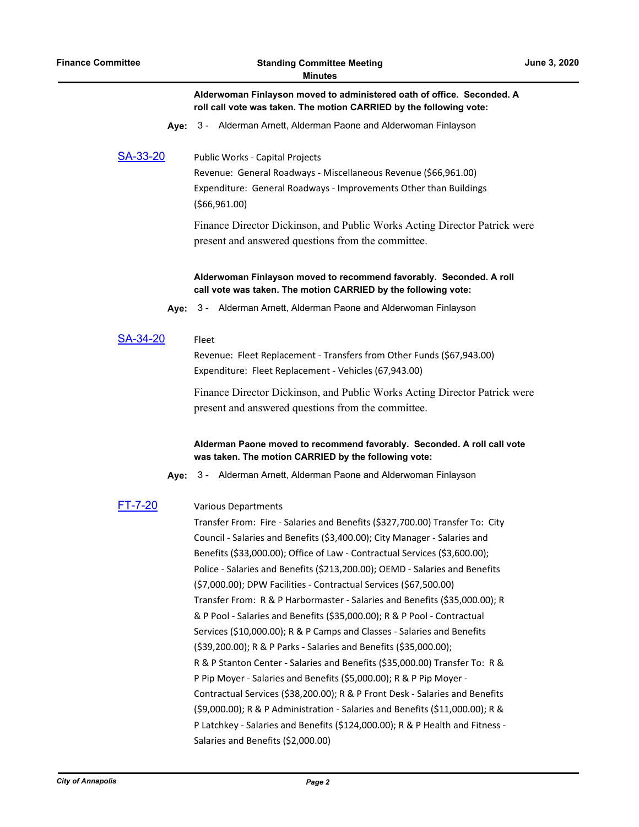| Alderwoman Finlayson moved to administered oath of office. Seconded. A |  |
|------------------------------------------------------------------------|--|
| roll call vote was taken. The motion CARRIED by the following vote:    |  |

**Aye:** 3 - Alderman Arnett, Alderman Paone and Alderwoman Finlayson

[SA-33-20](http://annapolismd.legistar.com/gateway.aspx?m=l&id=/matter.aspx?key=4796) Public Works - Capital Projects

Revenue: General Roadways - Miscellaneous Revenue (\$66,961.00) Expenditure: General Roadways - Improvements Other than Buildings (\$66,961.00)

Finance Director Dickinson, and Public Works Acting Director Patrick were present and answered questions from the committee.

#### **Alderwoman Finlayson moved to recommend favorably. Seconded. A roll call vote was taken. The motion CARRIED by the following vote:**

- **Aye:** 3 Alderman Arnett, Alderman Paone and Alderwoman Finlayson
- [SA-34-20](http://annapolismd.legistar.com/gateway.aspx?m=l&id=/matter.aspx?key=4797) Fleet

Revenue: Fleet Replacement - Transfers from Other Funds (\$67,943.00) Expenditure: Fleet Replacement - Vehicles (67,943.00)

Finance Director Dickinson, and Public Works Acting Director Patrick were present and answered questions from the committee.

#### **Alderman Paone moved to recommend favorably. Seconded. A roll call vote was taken. The motion CARRIED by the following vote:**

**Aye:** 3 - Alderman Arnett, Alderman Paone and Alderwoman Finlayson

#### [FT-7-20](http://annapolismd.legistar.com/gateway.aspx?m=l&id=/matter.aspx?key=4816) Various Departments

Transfer From: Fire - Salaries and Benefits (\$327,700.00) Transfer To: City Council - Salaries and Benefits (\$3,400.00); City Manager - Salaries and Benefits (\$33,000.00); Office of Law - Contractual Services (\$3,600.00); Police - Salaries and Benefits (\$213,200.00); OEMD - Salaries and Benefits (\$7,000.00); DPW Facilities - Contractual Services (\$67,500.00) Transfer From: R & P Harbormaster - Salaries and Benefits (\$35,000.00); R & P Pool - Salaries and Benefits (\$35,000.00); R & P Pool - Contractual Services (\$10,000.00); R & P Camps and Classes - Salaries and Benefits (\$39,200.00); R & P Parks - Salaries and Benefits (\$35,000.00); R & P Stanton Center - Salaries and Benefits (\$35,000.00) Transfer To: R & P Pip Moyer - Salaries and Benefits (\$5,000.00); R & P Pip Moyer - Contractual Services (\$38,200.00); R & P Front Desk - Salaries and Benefits (\$9,000.00); R & P Administration - Salaries and Benefits (\$11,000.00); R & P Latchkey - Salaries and Benefits (\$124,000.00); R & P Health and Fitness - Salaries and Benefits (\$2,000.00)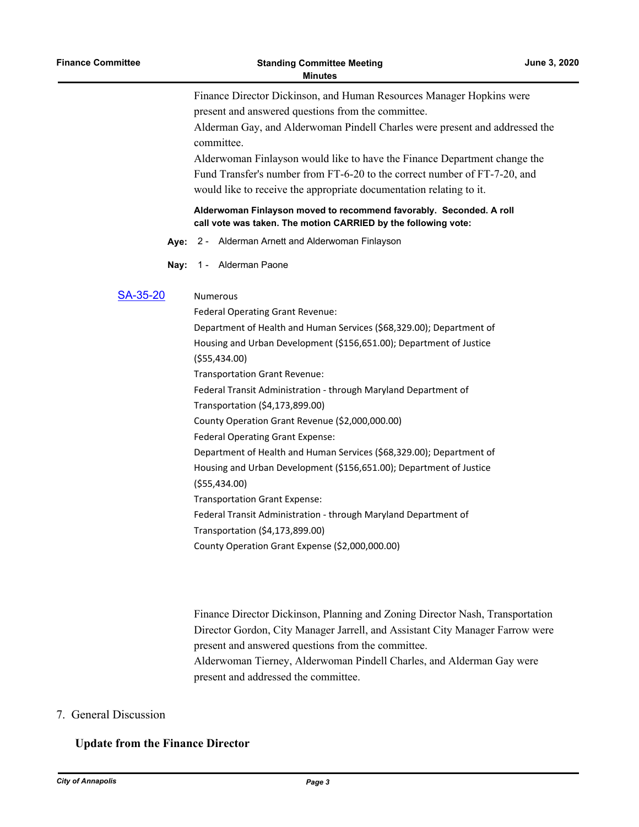Finance Director Dickinson, and Human Resources Manager Hopkins were present and answered questions from the committee. Alderman Gay, and Alderwoman Pindell Charles were present and addressed the committee.

Alderwoman Finlayson would like to have the Finance Department change the Fund Transfer's number from FT-6-20 to the correct number of FT-7-20, and would like to receive the appropriate documentation relating to it.

**Alderwoman Finlayson moved to recommend favorably. Seconded. A roll call vote was taken. The motion CARRIED by the following vote:**

- **Aye:** 2 Alderman Arnett and Alderwoman Finlayson
- **Nay:** 1 Alderman Paone

[SA-35-20](http://annapolismd.legistar.com/gateway.aspx?m=l&id=/matter.aspx?key=4817) Numerous

Federal Operating Grant Revenue: Department of Health and Human Services (\$68,329.00); Department of Housing and Urban Development (\$156,651.00); Department of Justice (\$55,434.00) Transportation Grant Revenue: Federal Transit Administration - through Maryland Department of Transportation (\$4,173,899.00) County Operation Grant Revenue (\$2,000,000.00) Federal Operating Grant Expense: Department of Health and Human Services (\$68,329.00); Department of Housing and Urban Development (\$156,651.00); Department of Justice (\$55,434.00) Transportation Grant Expense: Federal Transit Administration - through Maryland Department of Transportation (\$4,173,899.00) County Operation Grant Expense (\$2,000,000.00)

Finance Director Dickinson, Planning and Zoning Director Nash, Transportation Director Gordon, City Manager Jarrell, and Assistant City Manager Farrow were present and answered questions from the committee. Alderwoman Tierney, Alderwoman Pindell Charles, and Alderman Gay were present and addressed the committee.

### 7. General Discussion

#### **Update from the Finance Director**